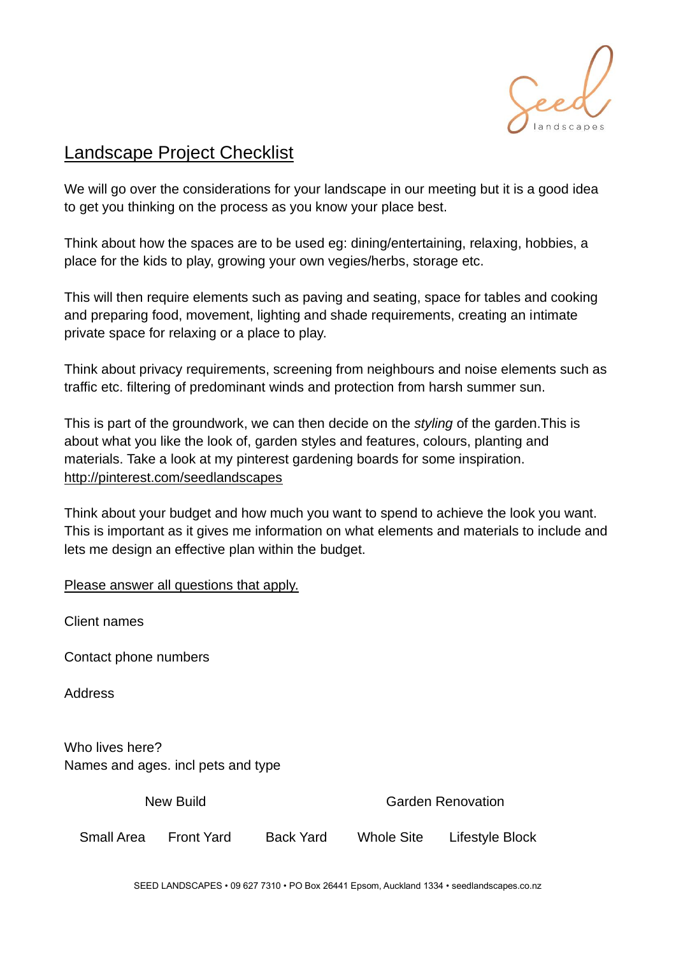

## Landscape Project Checklist

We will go over the considerations for your landscape in our meeting but it is a good idea to get you thinking on the process as you know your place best.

Think about how the spaces are to be used eg: dining/entertaining, relaxing, hobbies, a place for the kids to play, growing your own vegies/herbs, storage etc.

This will then require elements such as paving and seating, space for tables and cooking and preparing food, movement, lighting and shade requirements, creating an intimate private space for relaxing or a place to play.

Think about privacy requirements, screening from neighbours and noise elements such as traffic etc. filtering of predominant winds and protection from harsh summer sun.

This is part of the groundwork, we can then decide on the *styling* of the garden.This is about what you like the look of, garden styles and features, colours, planting and materials. Take a look at my pinterest gardening boards for some inspiration. <http://pinterest.com/seedlandscapes>

Think about your budget and how much you want to spend to achieve the look you want. This is important as it gives me information on what elements and materials to include and lets me design an effective plan within the budget.

Please answer all questions that apply.

Client names

Contact phone numbers

**Address** 

Who lives here? Names and ages. incl pets and type

New Build **Garden Renovation** 

Small Area Front Yard Back Yard Whole Site Lifestyle Block

SEED LANDSCAPES • 09 627 7310 • PO Box 26441 Epsom, Auckland 1334 • seedlandscapes.co.nz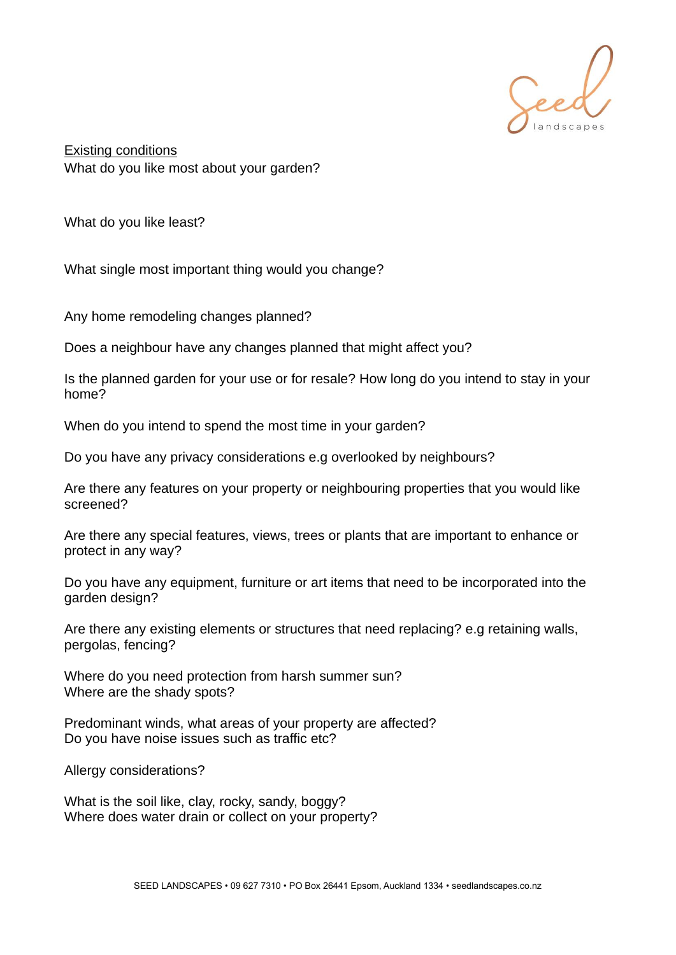

Existing conditions What do you like most about your garden?

What do you like least?

What single most important thing would you change?

Any home remodeling changes planned?

Does a neighbour have any changes planned that might affect you?

Is the planned garden for your use or for resale? How long do you intend to stay in your home?

When do you intend to spend the most time in your garden?

Do you have any privacy considerations e.g overlooked by neighbours?

Are there any features on your property or neighbouring properties that you would like screened?

Are there any special features, views, trees or plants that are important to enhance or protect in any way?

Do you have any equipment, furniture or art items that need to be incorporated into the garden design?

Are there any existing elements or structures that need replacing? e.g retaining walls, pergolas, fencing?

Where do you need protection from harsh summer sun? Where are the shady spots?

Predominant winds, what areas of your property are affected? Do you have noise issues such as traffic etc?

Allergy considerations?

What is the soil like, clay, rocky, sandy, boggy? Where does water drain or collect on your property?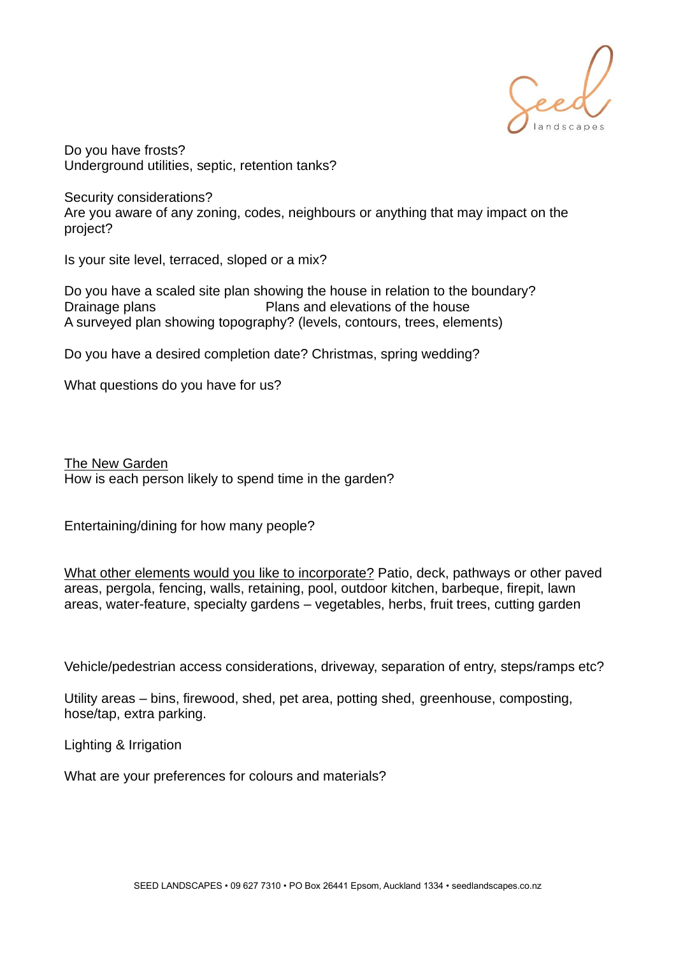

Do you have frosts? Underground utilities, septic, retention tanks?

Security considerations?

Are you aware of any zoning, codes, neighbours or anything that may impact on the project?

Is your site level, terraced, sloped or a mix?

Do you have a scaled site plan showing the house in relation to the boundary? Drainage plans **Plans** and elevations of the house A surveyed plan showing topography? (levels, contours, trees, elements)

Do you have a desired completion date? Christmas, spring wedding?

What questions do you have for us?

The New Garden How is each person likely to spend time in the garden?

Entertaining/dining for how many people?

What other elements would you like to incorporate? Patio, deck, pathways or other paved areas, pergola, fencing, walls, retaining, pool, outdoor kitchen, barbeque, firepit, lawn areas, water-feature, specialty gardens – vegetables, herbs, fruit trees, cutting garden

Vehicle/pedestrian access considerations, driveway, separation of entry, steps/ramps etc?

Utility areas – bins, firewood, shed, pet area, potting shed, greenhouse, composting, hose/tap, extra parking.

Lighting & Irrigation

What are your preferences for colours and materials?